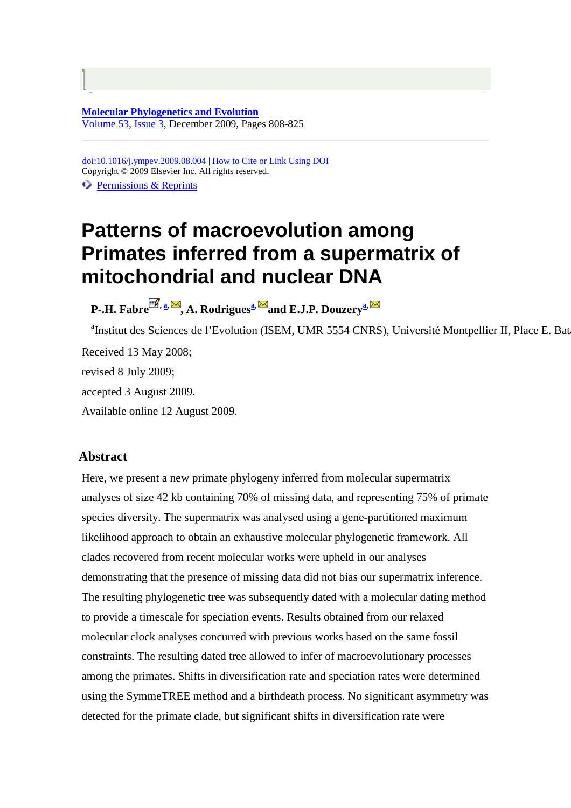**Molecular Phylogenetics and Evolution** Volume 53, Issue 3, December 2009, Pages 808-825

doi:10.1016/j.ympev.2009.08.004 | How to Cite or Link Using DOI Copyright © 2009 Elsevier Inc. All rights reserved.

Permissions & Reprints

## **Patterns of macroevolution among Primates inferred from a supermatrix of mitochondrial and nuclear DNA**

**P-.H. Fabre , a, , A. Rodriguesa, and E.J.P. Douzerya,** 

<sup>a</sup>Institut des Sciences de l'Evolution (ISEM, UMR 5554 CNRS), Université Montpellier II, Place E. Bata Received 13 May 2008; revised 8 July 2009; accepted 3 August 2009. Available online 12 August 2009.

## **Abstract**

Here, we present a new primate phylogeny inferred from molecular supermatrix analyses of size 42 kb containing 70% of missing data, and representing 75% of primate species diversity. The supermatrix was analysed using a gene-partitioned maximum likelihood approach to obtain an exhaustive molecular phylogenetic framework. All clades recovered from recent molecular works were upheld in our analyses demonstrating that the presence of missing data did not bias our supermatrix inference. The resulting phylogenetic tree was subsequently dated with a molecular dating method to provide a timescale for speciation events. Results obtained from our relaxed molecular clock analyses concurred with previous works based on the same fossil constraints. The resulting dated tree allowed to infer of macroevolutionary processes among the primates. Shifts in diversification rate and speciation rates were determined using the SymmeTREE method and a birthdeath process. No significant asymmetry was detected for the primate clade, but significant shifts in diversification rate were